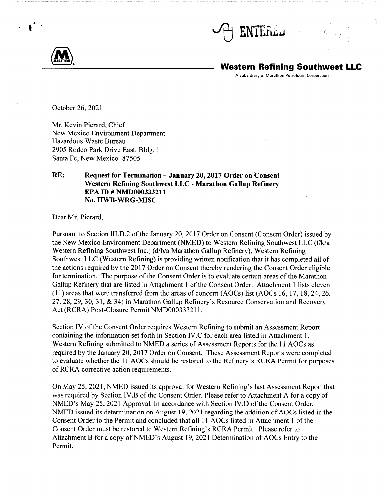



••

# **Western Refining Southwest LLC**

A subsidiary of Marathon Petroleum Corporation

October 26, 2021

Mr. Kevin Pierard, Chief New Mexico Environment Department Hazardous Waste Bureau 2905 Rodeo Park Drive East, Bldg. 1 Santa Fe, New Mexico 87505

## **RE: Request for Termination - January 20, 2017 Order on Consent Western Refining Southwest LLC - Marathon Gallup Refinery EPA ID# NMD000333211 No. HWB-WRG-MISC**

Dear Mr. Pierard,

Pursuant to Section III.D.2 of the January 20, 2017 Order on Consent (Consent Order) issued by the New Mexico Environment Department (NMED) to Western Refining Southwest LLC (f/k/a Western Refining Southwest Inc.) (d/b/a Marathon Gallup Refinery), Western Refining Southwest LLC (Western Refining) is providing written notification that it has completed all of the actions required by the 2017 Order on Consent thereby rendering the Consent Order eligible for termination. The purpose of the Consent Order is to evaluate certain areas of the Marathon Gallup Refinery that are listed in Attachment I of the Consent Order. Attachment I lists eleven (11) areas that were transferred from the areas of concern (AOCs) list (AOCs 16, 17, 18, 24, 26, 27, 28, 29, 30, 31, & 34) in Marathon Gallup Refinery's Resource Conservation and Recovery Act (RCRA) Post-Closure Permit NMD00033321 l.

Section IV of the Consent Order requires Western Refining to submit an Assessment Report containing the information set forth in Section IV.C for each area listed in Attachment I. Western Refining submitted to NMED a series of Assessment Reports for the 11 AOCs as required by the January 20, 2017 Order on Consent. These Assessment Reports were completed to evaluate whether the 11 AOCs should be restored to the Refinery's RCRA Permit for purposes of RCRA corrective action requirements.

On May 25, 2021, NMED issued its approval for Western Refining's last Assessment Report that was required by Section IV.B of the Consent Order. Please refer to Attachment A for a copy of NMED's May 25, 2021 Approval. In accordance with Section IV.D of the Consent Order, NMED issued its determination on August 19, 2021 regarding the addition of AOCs listed in the Consent Order to the Permit and concluded that all 11 AOCs listed in Attachment **1** of the Consent Order must be restored to Western Refining's RCRA Permit. Please refer to Attachment B for a copy of NMED's August 19, 2021 Determination of AOCs Entry to the Permit.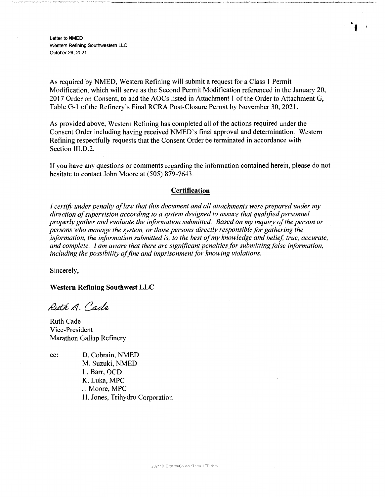Letter to NMED Western Refining Southwestern LLC October 26, 2021

As required by NMED, Western Refining will submit a request for a Class I Permit Modification, which will serve as the Second Permit Modification referenced in the January 20, 2017 Order on Consent, to add the AOCs listed in Attachment I of the Order to Attachment G, Table G-1 of the Refinery's Final RCRA Post-Closure Permit by November 30, 2021.

**f** 

As provided above, Western Refining has completed all of the actions required under the Consent Order including having received NMED's final approval and determination. Western Refining respectfully requests that the Consent Order be terminated in accordance with Section II1.D.2.

If you have any questions or comments regarding the information contained herein, please do not hesitate to contact John Moore at (505) 879-7643.

## **Certification**

*I certify under penalty of law that this document and all attachments were prepared under my direction of supervision according to a system designed to assure that qualified personnel properly gather and evaluate the information submitted. Based on my inquiry of the person or persons who manage the system, or those persons directly responsible for gathering the information, the information submitted is, to the best of my knowledge and belief, true, accurate, and complete. I am aware that there are significant penalties for submitting false information, including the possibility of fine and imprisonment for knowing violations.* 

Sincerely,

**Western Refining Southwest LLC** 

Rith A. Cade

Ruth Cade Vice-President Marathon Gallup Refinery

cc: D. Cobrain, NMED M. Suzuki, NMED L. Barr, OCD K. Luka, MPC J. Moore, MPC H. Jones, Trihydro Corporation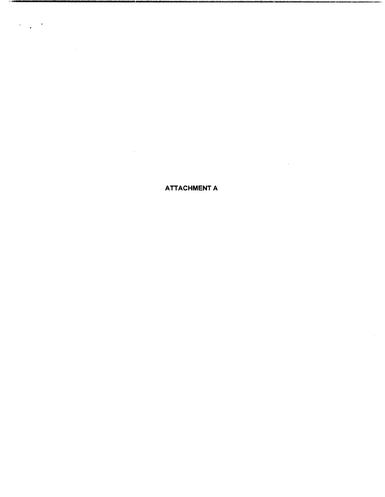**ATTACHMENT A** 

 $\sim$ 

 $\mathcal{F}=\mathcal{F}$ 

 $\bar{z}$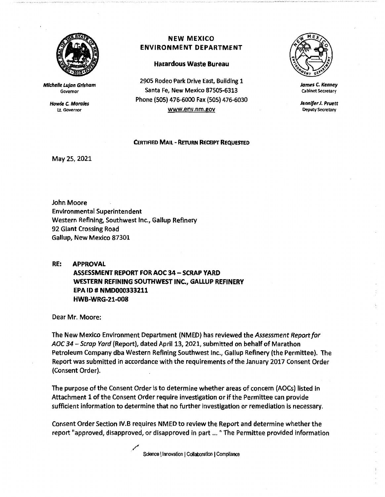

**Michelle Lujan Grisham**  Governor

> **Howle C. Morales**  U. Governor

## **NEW MEXICO ENVIRONMENT DEPARTMENT**

## **Hazardous Waste Bureau**

2905 Rodeo Park Drive East, Building 1 Santa Fe, New Mexico 87505-6313 Phone (505) 476-6000 Fax (SOS) 476-6030 www.env.nm.gov

### **CERTIFIED MAIL** - **REruRN RECEIPT REQUESTED**

May 25, 2021

John Moore Environmental Superintendent Western Refining, Southwest Inc., Gallup Refinery 92 Giant Crossing Road Gallup, New Mexico 87301

**RE: APPROVAL ASSESSMENT REPORT FOR AOC 34- SCRAP YARD WESTERN REFINING SOUTHWEST INC., GALLUP REFINERY EPA ID** # **NMD000333211 HWB-WRG-21-008** 

Dear Mr. Moore:

The New Mexico Environment Department (NMED) has reviewed the *Assessment Report for*  AOC 34 - Scrap Yard (Report), dated April 13, 2021, submitted on behalf of Marathon Petroleum Company dba Western Refining Southwest Inc., Gallup Refinery (the Permittee). The Report was submitted in accordance with the requirements of the January 2017 Consent Order (Consent Order).

The purpose of the Consent Order is to determine whether areas of concern (AOCs) listed In Attachment 1 of the Consent Order require investigation or if the Permittee can provide sufficient information to determine that no further investigation or remediation is necessary.

Consent Order Section IV.B requires NMED to review the Report and determine whether the report "approved, disapproved, or disapproved in part ... " The Permittee provided information

> ./ Science | Innovation | Collaboration | Compliance



**James** *C.* **Kenney**  cabinet Secretary

**Jennifer** *J.* **Pruett**  Deputy Secretary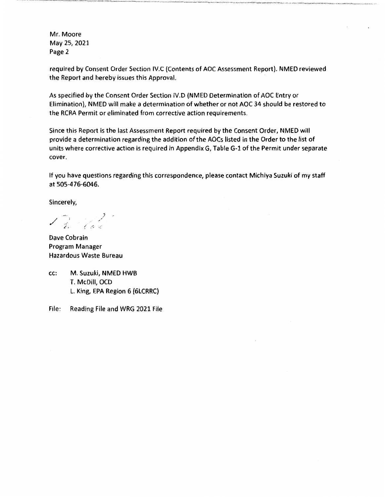Mr. Moore May 25, 2021 Page 2

required by Consent Order Section IV.C (Contents of AOC Assessment Report). NMED reviewed the Report and hereby issues this Approval.

As specified by the Consent Order Section IV.D (NMED Determination of AOC Entry or Elimination), NMED will make a determination of whether or not AOC 34 should be restored to the RCRA Permit or eliminated from corrective action requirements.

Since this Report is the last Assessment Report required by the Consent Order, NMED will provide a determination regarding the addition of the AOCs listed in the Order to the list of units where corrective action is required in Appendix G, Table G-1 of the Permit under separate cover.

If you have questions regarding this correspondence, please contact Michiya Suzuki of my staff at 505-4 76-6046.

Sincerely,

7 *(* ,-~

Dave Cobrain Program Manager Hazardous Waste Bureau

cc: M. Suzuki, NMED HWB T. McDill, OCD L. King, EPA Region 6 (GLCRRC)

File: Reading File and WRG 2021 File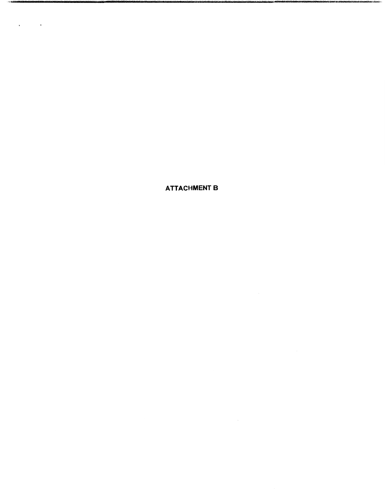**ATTACHMENT B** 

 $\sim$  2888

 $\Delta \phi = 0.01$  ,  $\Delta \phi = 0.01$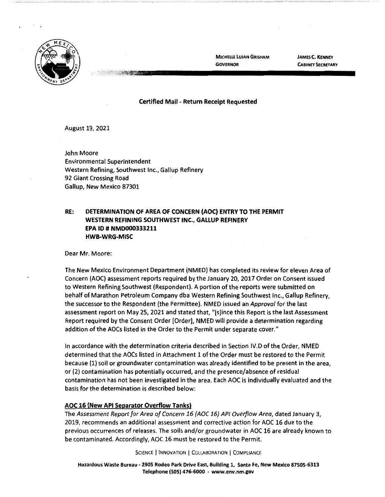

**MICHELLE LUJAN GRISHAM GOVERNOR** 

**JAMES C. KENNEY CABINET SECRETARY** 

## **Certified Mail** - **Return Receipt Requested**

August 19, 2021

John Moore Environmental Superintendent Western Refining, Southwest Inc., Gallup Refinery 92 Giant Crossing Road Gallup, New Mexico 87301

**PARTICIPAL AND THE PARTIES** 

## **RE: DETERMINATION OF AREA OF CONCERN (AOC) ENTRY TO THE PERMIT WESTERN REFINING SOUTHWEST INC., GALLUP REFINERY EPA ID# NMD000333211 HWB-WRG-MISC**

Dear Mr. Moore:

The New Mexico Environment Department (NMED) has completed its review for eleven Area of Concern (AOC) assessment reports required by the January 20, 2017 Order on Consent issued to Western Refining Southwest (Respondent). A portion of the reports were submitted on behalf of Marathon Petroleum Company dba Western Refining Southwest Inc., Gallup Refinery, the successor to the Respondent (the Permittee). NMED issued an Approval for the last assessment report on May 25, 2021 and stated that, "[s]ince this Report is the last Assessment Report required by the Consent Order [Order], NMED will provide a determination regarding addition of the AOCs listed in the Order to the Permit under separate cover."

In accordance with the determination criteria described in Section IV.D of the Order, NMED determined that the AOCs listed in Attachment 1 of the Order must be restored to the Permit because (1) soil or groundwater contamination was already identified to be present in the area, or (2) contamination has potentially occurred, and the presence/absence of residual contamination has not been investigated in the area. Each AOC is individually evaluated and the basis for the determination is described below:

## **AOC 16 (New API Separator Overflow Tanks)**

The Assessment Report for Area of Concern 16 (AOC 16} AP/ Overflow Area, dated January 3, 2019, recommends an additional assessment and corrective action for AOC 16 due to the previous occurrences of releases. The soils and/or groundwater in AOC 16 are already known to be contaminated. Accordingly, AOC 16 must be restored to the Permit.

SCIENCE | INNOVATION | COLLABORATION | COMPLIANCE

**Hazardous Waste Bureau** - **2905 Rodeo Park Drive East, Building 1, Santa Fe, New Mexico 87505-6313 Telephone (SOS) 476-6000** - **www.env.nm.gov**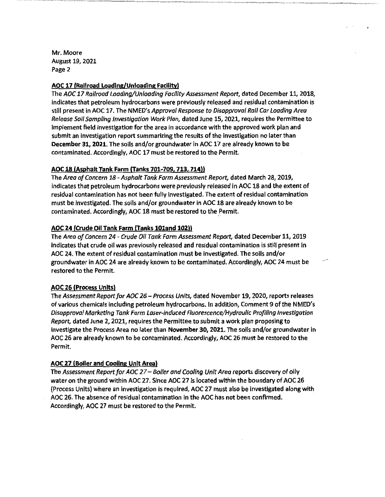Mr. Moore August 19, 2021 Page 2

## **AOC 17 (Railroad Loading/Unloading Facility)**

The AOC 17 Railroad Loading/Unloading Facility Assessment Report, dated December 11, 2018, indicates that petroleum hydrocarbons were previously released and residual contamination is still present in AOC 17. The NMED's Approval Response to Disapproval Rail Car Loading Area Release Soil Sampling Investigation Work Plan, dated June 15, 2021, requires the Permittee to Implement field investigation for the area in accordance with the approved work plan and submit an investigation report summarizing the results of the investigation no later than **December 31, 2021.** The soils and/or groundwater in AOC 17 are already known to be contaminated. Accordingly, AOC 17 must be restored to the Permit.

## **AOC 18 (Asphalt Tank Farm (Tanks 701-709, 713, 714))**

The Area of Concern 18 - Asphalt Tank Farm Assessment Report, dated March 28, 2019, indicates that petroleum hydrocarbons were previously released in AOC 18 and the extent of residual contamination has not been fully investigated. The extent of residual contamination must be investigated. The soils and/or groundwater in AOC 18 are already known to be contaminated. Accordingly, AOC 18 must be restored to the Permit.

## **AOC 24 (Crude Oil Tank Farm (Tanks 101and 102))**

The Area of Concern 24 - Crude Oil Tank Farm Assessment Report, dated December 11, 2019 indicates that crude oil was previously released and residual contamination is still present in AOC 24. The extent of residual contamination must be investigated. The soils and/or groundwater in AOC 24 are already known to be contaminated. Accordingly, AOC 24 must be restored to the Permit.

## **AOC 26 (Process Units)**

The Assessment Report for AOC 26 - Process Units, dated November 19, 2020, reports releases of various chemicals including petroleum hydrocarbons. In addition, Comment 9 of the NMED's Disapproval Marketing Tank Farm laser-induced Fluorescence/Hydraulic Profiling Investigation Report, dated June 2, 2021, requires the Permlttee to submit a work plan proposing to investigate the Process Area no later than **November 30, 2021.** The soils and/or groundwater in AOC 26 are already known to be contaminated. Accordingly, AOC 26 must be restored to the Permit.

## **AOC 27 (Boller and Cooling Unit Area)**

The Assessment Report for AOC 27 – Boiler and Cooling Unit Area reports discovery of oily water on the ground within AOC 27. Since AOC 27 is located within the boundary of AOC 26 (Process Units) where an investigation is required, AOC 27 must also be investigated along with AOC 26. The absence of residual contamination in the AOC has not been confirmed. Accordingly, AOC 27 must be restored to the Permit.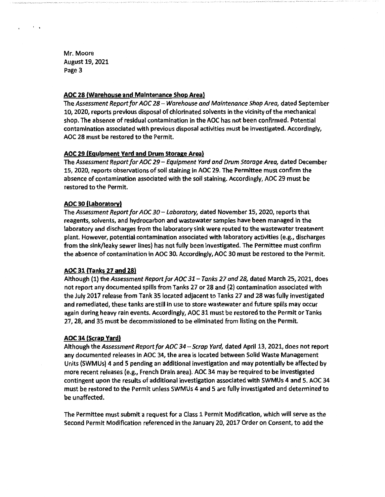Mr. Moore August 19, 2021 Page 3

 $\cdot$  .

## **AOC 28 (Warehouse and Maintenance Shop Area)**

The Assessment Report for AOC 28 - Warehouse and Maintenance Shop Area, dated September 10, 2020, reports previous disposal of chlorinated solvents in the vicinity of the mechanical shop. The absence of residual contamination in the AOC has not been confirmed. Potential contamination associated with previous disposal activities must be investigated. Accordingly, AOC 28 must be restored to the Permit.

## **AOC 29 {Equipment Yard and Drum Storage Area)**

The Assessment Report for AOC 29- Equipment Yard and Drum Storage Area, dated December 15, 2020, reports observations of soil staining in AOC 29. The Permittee must confirm the absence of contamination associated with the soil staining. Accordingly, AOC 29 must be restored to the Permit.

### **AOC 30 (Laboratory)**

The Assessment Report for AOC 30 - Laboratory, dated November 15, 2020, reports that reagents, solvents, and hydrocarbon and wastewater samples have been managed in the laboratory and discharges from the laboratory sink were routed to the wastewater treatment plant. However, potential contamination associated with laboratory activities (e.g., discharges from the sink/leaky sewer lines) has not fully been Investigated. The Permittee must confirm the absence of contamination in AOC 30. Accordingly, AOC 30 must be restored to the Permit.

## AOC 31 (Tanks 27 **and 28)**

Although (1) the Assessment Report for AOC 31 - Tanks 27 and 28, dated March 25, 2021, does not report any documented spills from Tanks 27 or 28 and {2) contamination associated with the July 2017 release from Tank 35 located adjacent to Tanks 27 and 28 was fully investigated and remediated, these tanks are still in use to store wastewater and future spills may occur again during heavy rain events. Accordingly, AOC 31 must be restored to the Permit or Tanks 27, 28, and 35 must be decommissioned to be eliminated from listing on the Permit.

#### **AOC 34 (Scrap Yard)**

Although the Assessment Report for AOC 34 - Scrap Yard, dated April 13, 2021, does not report any documented releases in AOC 34, the area is located between Solid Waste Management Units (SWMUs) 4 and 5 pending an additional investigation and may potentially be affected by more recent releases (e.g., French Drain area). AOC 34 may be required to be Investigated contingent upon the results of additional investigation associated with SWMUs 4 and 5. AOC 34 must be restored to the Permit unless SWMUs 4 and 5 are fully investigated and determined to be unaffected.

The Permittee must submit a request for a Class 1 Permit Modification, which will serve as the Second Permit Modification referenced in the January 20, 2017 Order on Consent, to add the